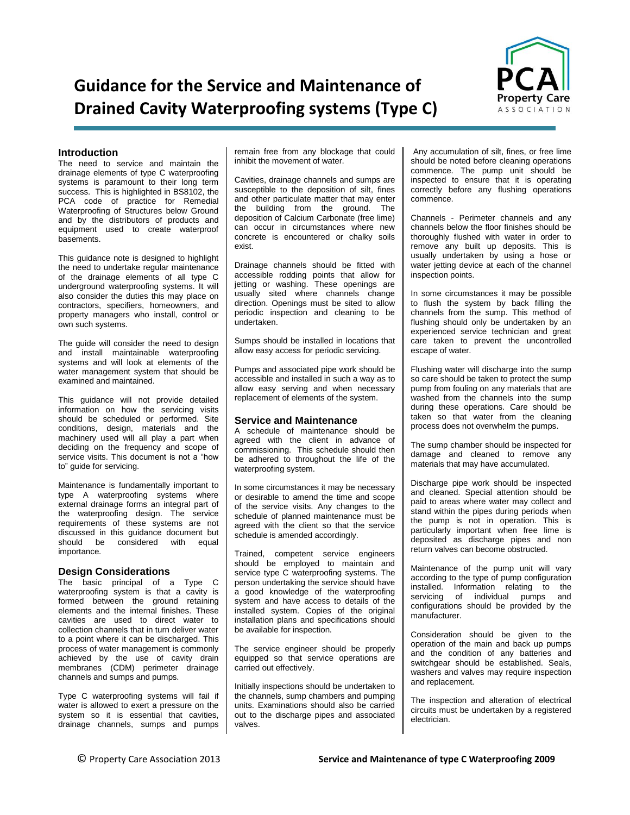# **Guidance for the Service and Maintenance of Drained Cavity Waterproofing systems (Type C)**



## **Introduction**

The need to service and maintain the drainage elements of type C waterproofing systems is paramount to their long term success. This is highlighted in BS8102, the PCA code of practice for Remedial Waterproofing of Structures below Ground and by the distributors of products and equipment used to create waterproof basements.

This guidance note is designed to highlight the need to undertake regular maintenance of the drainage elements of all type C underground waterproofing systems. It will also consider the duties this may place on contractors, specifiers, homeowners, and property managers who install, control or own such systems.

The guide will consider the need to design and install maintainable waterproofing systems and will look at elements of the water management system that should be examined and maintained.

This guidance will not provide detailed information on how the servicing visits should be scheduled or performed. Site conditions, design, materials and the machinery used will all play a part when deciding on the frequency and scope of service visits. This document is not a "how to" guide for servicing.

Maintenance is fundamentally important to type A waterproofing systems where external drainage forms an integral part of the waterproofing design. The service requirements of these systems are not discussed in this guidance document but should be considered with equal importance.

## **Design Considerations**

The basic principal of a Type C waterproofing system is that a cavity is formed between the ground retaining elements and the internal finishes. These cavities are used to direct water to collection channels that in turn deliver water to a point where it can be discharged. This process of water management is commonly achieved by the use of cavity drain membranes (CDM) perimeter drainage channels and sumps and pumps.

Type C waterproofing systems will fail if water is allowed to exert a pressure on the system so it is essential that cavities, drainage channels, sumps and pumps remain free from any blockage that could inhibit the movement of water.

Cavities, drainage channels and sumps are susceptible to the deposition of silt, fines and other particulate matter that may enter the building from the ground. The deposition of Calcium Carbonate (free lime) can occur in circumstances where new concrete is encountered or chalky soils exist.

Drainage channels should be fitted with accessible rodding points that allow for jetting or washing. These openings are usually sited where channels change direction. Openings must be sited to allow periodic inspection and cleaning to be undertaken.

Sumps should be installed in locations that allow easy access for periodic servicing.

Pumps and associated pipe work should be accessible and installed in such a way as to allow easy serving and when necessary replacement of elements of the system.

### **Service and Maintenance**

A schedule of maintenance should be agreed with the client in advance of commissioning. This schedule should then be adhered to throughout the life of the waterproofing system.

In some circumstances it may be necessary or desirable to amend the time and scope of the service visits. Any changes to the schedule of planned maintenance must be agreed with the client so that the service schedule is amended accordingly.

Trained, competent service engineers should be employed to maintain and service type C waterproofing systems. The person undertaking the service should have a good knowledge of the waterproofing system and have access to details of the installed system. Copies of the original installation plans and specifications should be available for inspection.

The service engineer should be properly equipped so that service operations are carried out effectively.

Initially inspections should be undertaken to the channels, sump chambers and pumping units. Examinations should also be carried out to the discharge pipes and associated valves.

Any accumulation of silt, fines, or free lime should be noted before cleaning operations commence. The pump unit should be inspected to ensure that it is operating correctly before any flushing operations commence.

Channels - Perimeter channels and any channels below the floor finishes should be thoroughly flushed with water in order to remove any built up deposits. This is usually undertaken by using a hose or water jetting device at each of the channel inspection points.

In some circumstances it may be possible to flush the system by back filling the channels from the sump. This method of flushing should only be undertaken by an experienced service technician and great care taken to prevent the uncontrolled escape of water.

Flushing water will discharge into the sump so care should be taken to protect the sump pump from fouling on any materials that are washed from the channels into the sump during these operations. Care should be taken so that water from the cleaning process does not overwhelm the pumps.

The sump chamber should be inspected for damage and cleaned to remove any materials that may have accumulated.

Discharge pipe work should be inspected and cleaned. Special attention should be paid to areas where water may collect and stand within the pipes during periods when the pump is not in operation. This is particularly important when free lime is deposited as discharge pipes and non return valves can become obstructed.

Maintenance of the pump unit will vary according to the type of pump configuration installed. Information relating to the servicing of individual pumps and configurations should be provided by the manufacturer.

Consideration should be given to the operation of the main and back up pumps and the condition of any batteries and switchgear should be established. Seals, washers and valves may require inspection and replacement.

The inspection and alteration of electrical circuits must be undertaken by a registered electrician.